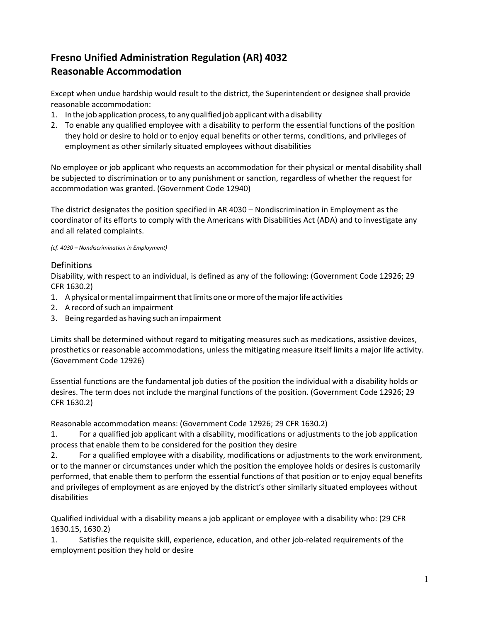# **Fresno Unified Administration Regulation (AR) 4032 Reasonable Accommodation**

Except when undue hardship would result to the district, the Superintendent or designee shall provide reasonable accommodation:

- 1. In the job application process, to any qualified job applicant with a disability
- 2. To enable any qualified employee with a disability to perform the essential functions of the position they hold or desire to hold or to enjoy equal benefits or other terms, conditions, and privileges of employment as other similarly situated employees without disabilities

No employee or job applicant who requests an accommodation for their physical or mental disability shall be subjected to discrimination or to any punishment or sanction, regardless of whether the request for accommodation was granted. (Government Code 12940)

The district designates the position specified in AR 4030 – Nondiscrimination in Employment as the coordinator of its efforts to comply with the Americans with Disabilities Act (ADA) and to investigate any and all related complaints.

*(cf. 4030 – Nondiscrimination in Employment)*

## Definitions

Disability, with respect to an individual, is defined as any of the following: (Government Code 12926; 29 CFR 1630.2)

- 1. A physical or mental impairment that limits one or more of the major life activities
- 2. A record of such an impairment
- 3. Being regarded as having such an impairment

Limits shall be determined without regard to mitigating measures such as medications, assistive devices, prosthetics or reasonable accommodations, unless the mitigating measure itself limits a major life activity. (Government Code 12926)

Essential functions are the fundamental job duties of the position the individual with a disability holds or desires. The term does not include the marginal functions of the position. (Government Code 12926; 29 CFR 1630.2)

Reasonable accommodation means: (Government Code 12926; 29 CFR 1630.2)

1. For a qualified job applicant with a disability, modifications or adjustments to the job application process that enable them to be considered for the position they desire

2. For a qualified employee with a disability, modifications or adjustments to the work environment, or to the manner or circumstances under which the position the employee holds or desires is customarily performed, that enable them to perform the essential functions of that position or to enjoy equal benefits and privileges of employment as are enjoyed by the district's other similarly situated employees without disabilities

Qualified individual with a disability means a job applicant or employee with a disability who: (29 CFR 1630.15, 1630.2)

1. Satisfies the requisite skill, experience, education, and other job-related requirements of the employment position they hold or desire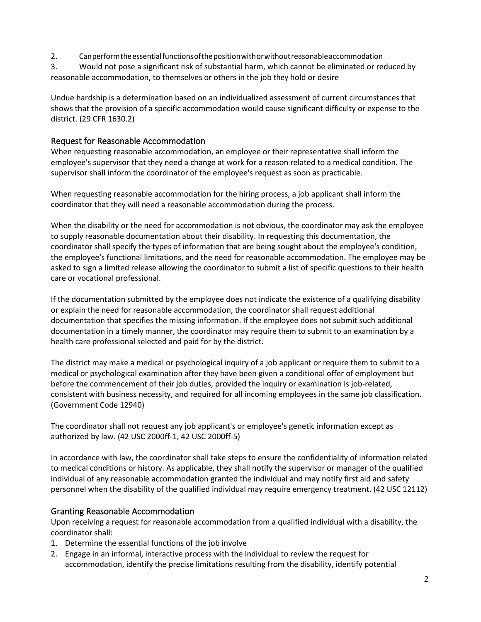2. Canperformtheessentialfunctionsofthepositionwithorwithoutreasonableaccommodation

3. Would not pose a significant risk of substantial harm, which cannot be eliminated or reduced by reasonable accommodation, to themselves or others in the job they hold or desire

Undue hardship is a determination based on an individualized assessment of current circumstances that shows that the provision of a specific accommodation would cause significant difficulty or expense to the district. (29 CFR 1630.2)

## Request for Reasonable Accommodation

When requesting reasonable accommodation, an employee or their representative shall inform the employee's supervisor that they need a change at work for a reason related to a medical condition. The supervisor shall inform the coordinator of the employee's request as soon as practicable.

When requesting reasonable accommodation for the hiring process, a job applicant shall inform the coordinator that they will need a reasonable accommodation during the process.

When the disability or the need for accommodation is not obvious, the coordinator may ask the employee to supply reasonable documentation about their disability. In requesting this documentation, the coordinator shall specify the types of information that are being sought about the employee's condition, the employee's functional limitations, and the need for reasonable accommodation. The employee may be asked to sign a limited release allowing the coordinator to submit a list of specific questions to their health care or vocational professional.

If the documentation submitted by the employee does not indicate the existence of a qualifying disability or explain the need for reasonable accommodation, the coordinator shall request additional documentation that specifies the missing information. If the employee does not submit such additional documentation in a timely manner, the coordinator may require them to submit to an examination by a health care professional selected and paid for by the district.

The district may make a medical or psychological inquiry of a job applicant or require them to submit to a medical or psychological examination after they have been given a conditional offer of employment but before the commencement of their job duties, provided the inquiry or examination is job-related, consistent with business necessity, and required for all incoming employees in the same job classification. (Government Code 12940)

The coordinator shall not request any job applicant's or employee's genetic information except as authorized by law. (42 USC 2000ff-1, 42 USC 2000ff-5)

In accordance with law, the coordinator shall take steps to ensure the confidentiality of information related to medical conditions or history. As applicable, they shall notify the supervisor or manager of the qualified individual of any reasonable accommodation granted the individual and may notify first aid and safety personnel when the disability of the qualified individual may require emergency treatment. (42 USC 12112)

# Granting Reasonable Accommodation

Upon receiving a request for reasonable accommodation from a qualified individual with a disability, the coordinator shall:

- 1. Determine the essential functions of the job involve
- 2. Engage in an informal, interactive process with the individual to review the request for accommodation, identify the precise limitations resulting from the disability, identify potential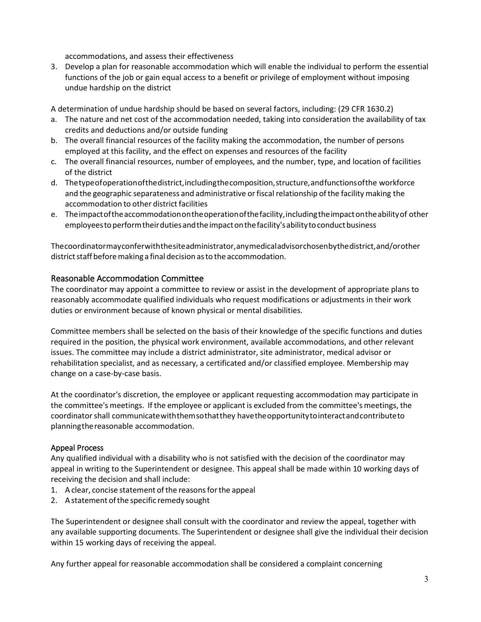accommodations, and assess their effectiveness

3. Develop a plan for reasonable accommodation which will enable the individual to perform the essential functions of the job or gain equal access to a benefit or privilege of employment without imposing undue hardship on the district

A determination of undue hardship should be based on several factors, including: (29 CFR 1630.2)

- a. The nature and net cost of the accommodation needed, taking into consideration the availability of tax credits and deductions and/or outside funding
- b. The overall financial resources of the facility making the accommodation, the number of persons employed at this facility, and the effect on expenses and resources of the facility
- c. The overall financial resources, number of employees, and the number, type, and location of facilities of the district
- d. Thetypeofoperationofthedistrict,includingthecomposition,structure,andfunctionsofthe workforce and the geographic separateness and administrative or fiscal relationship of the facility making the accommodation to other district facilities
- e. Theimpactoftheaccommodationontheoperationofthefacility,includingtheimpactontheabilityof other employeestoperformtheirdutiesandtheimpactonthefacility'sabilitytoconductbusiness

Thecoordinatormayconferwiththesiteadministrator,anymedicaladvisorchosenbythedistrict,and/orother district staff before making a final decision as to the accommodation.

### Reasonable Accommodation Committee

The coordinator may appoint a committee to review or assist in the development of appropriate plans to reasonably accommodate qualified individuals who request modifications or adjustments in their work duties or environment because of known physical or mental disabilities.

Committee members shall be selected on the basis of their knowledge of the specific functions and duties required in the position, the physical work environment, available accommodations, and other relevant issues. The committee may include a district administrator, site administrator, medical advisor or rehabilitation specialist, and as necessary, a certificated and/or classified employee. Membership may change on a case-by-case basis.

At the coordinator's discretion, the employee or applicant requesting accommodation may participate in the committee's meetings. If the employee or applicant is excluded from the committee's meetings, the coordinatorshall communicatewiththemsothatthey havetheopportunitytointeractandcontributeto planningthereasonable accommodation.

#### Appeal Process

Any qualified individual with a disability who is not satisfied with the decision of the coordinator may appeal in writing to the Superintendent or designee. This appeal shall be made within 10 working days of receiving the decision and shall include:

- 1. A clear, concise statement of the reasons for the appeal
- 2. A statement of the specific remedy sought

The Superintendent or designee shall consult with the coordinator and review the appeal, together with any available supporting documents. The Superintendent or designee shall give the individual their decision within 15 working days of receiving the appeal.

Any further appeal for reasonable accommodation shall be considered a complaint concerning